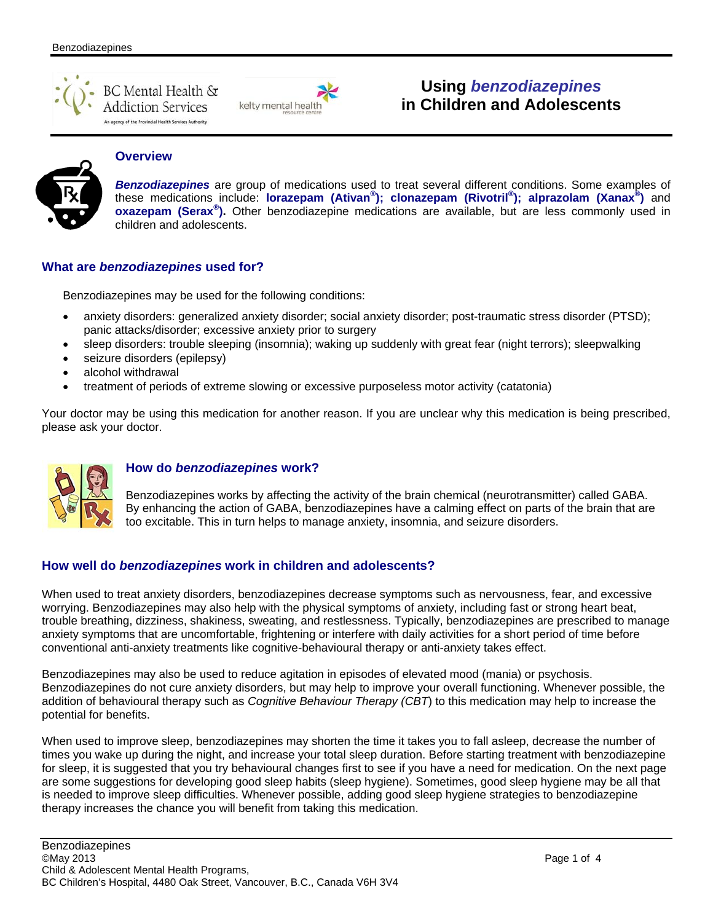



# **Using** *benzodiazepines*  **in Children and Adolescents**



## **Overview**

*Benzodiazepines* are group of medications used to treat several different conditions. Some examples of these medications include: **lorazepam (Ativan® ); clonazepam (Rivotril® ); alprazolam (Xanax® )** and **oxazepam (Serax® ).** Other benzodiazepine medications are available, but are less commonly used in children and adolescents.

### **What are** *benzodiazepines* **used for?**

Benzodiazepines may be used for the following conditions:

- anxiety disorders: generalized anxiety disorder; social anxiety disorder; post-traumatic stress disorder (PTSD); panic attacks/disorder; excessive anxiety prior to surgery
- sleep disorders: trouble sleeping (insomnia); waking up suddenly with great fear (night terrors); sleepwalking
- seizure disorders (epilepsy)
- alcohol withdrawal
- treatment of periods of extreme slowing or excessive purposeless motor activity (catatonia)

Your doctor may be using this medication for another reason. If you are unclear why this medication is being prescribed, please ask your doctor.



### **How do** *benzodiazepines* **work?**

Benzodiazepines works by affecting the activity of the brain chemical (neurotransmitter) called GABA. By enhancing the action of GABA, benzodiazepines have a calming effect on parts of the brain that are too excitable. This in turn helps to manage anxiety, insomnia, and seizure disorders.

## **How well do** *benzodiazepines* **work in children and adolescents?**

When used to treat anxiety disorders, benzodiazepines decrease symptoms such as nervousness, fear, and excessive worrying. Benzodiazepines may also help with the physical symptoms of anxiety, including fast or strong heart beat, trouble breathing, dizziness, shakiness, sweating, and restlessness. Typically, benzodiazepines are prescribed to manage anxiety symptoms that are uncomfortable, frightening or interfere with daily activities for a short period of time before conventional anti-anxiety treatments like cognitive-behavioural therapy or anti-anxiety takes effect.

Benzodiazepines may also be used to reduce agitation in episodes of elevated mood (mania) or psychosis. Benzodiazepines do not cure anxiety disorders, but may help to improve your overall functioning. Whenever possible, the addition of behavioural therapy such as *Cognitive Behaviour Therapy (CBT*) to this medication may help to increase the potential for benefits.

When used to improve sleep, benzodiazepines may shorten the time it takes you to fall asleep, decrease the number of times you wake up during the night, and increase your total sleep duration. Before starting treatment with benzodiazepine for sleep, it is suggested that you try behavioural changes first to see if you have a need for medication. On the next page are some suggestions for developing good sleep habits (sleep hygiene). Sometimes, good sleep hygiene may be all that is needed to improve sleep difficulties. Whenever possible, adding good sleep hygiene strategies to benzodiazepine therapy increases the chance you will benefit from taking this medication.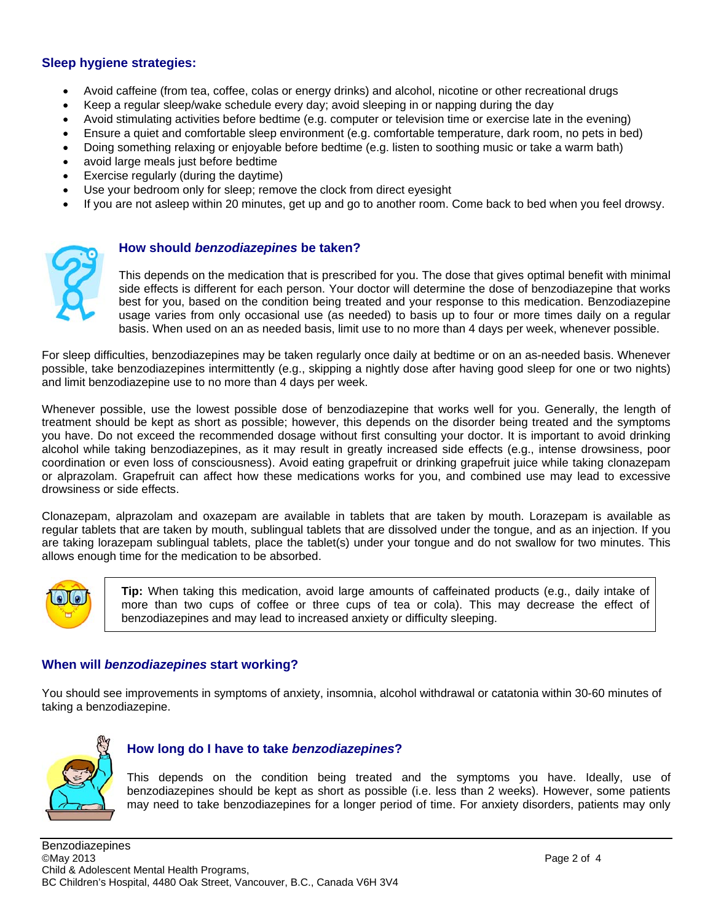#### **Sleep hygiene strategies:**

- Avoid caffeine (from tea, coffee, colas or energy drinks) and alcohol, nicotine or other recreational drugs
- Keep a regular sleep/wake schedule every day; avoid sleeping in or napping during the day
- Avoid stimulating activities before bedtime (e.g. computer or television time or exercise late in the evening)
- Ensure a quiet and comfortable sleep environment (e.g. comfortable temperature, dark room, no pets in bed)
- Doing something relaxing or enjoyable before bedtime (e.g. listen to soothing music or take a warm bath)
- avoid large meals just before bedtime
- Exercise regularly (during the daytime)
- Use your bedroom only for sleep; remove the clock from direct eyesight
- If you are not asleep within 20 minutes, get up and go to another room. Come back to bed when you feel drowsy.



#### **How should** *benzodiazepines* **be taken?**

This depends on the medication that is prescribed for you. The dose that gives optimal benefit with minimal side effects is different for each person. Your doctor will determine the dose of benzodiazepine that works best for you, based on the condition being treated and your response to this medication. Benzodiazepine usage varies from only occasional use (as needed) to basis up to four or more times daily on a regular basis. When used on an as needed basis, limit use to no more than 4 days per week, whenever possible.

For sleep difficulties, benzodiazepines may be taken regularly once daily at bedtime or on an as-needed basis. Whenever possible, take benzodiazepines intermittently (e.g., skipping a nightly dose after having good sleep for one or two nights) and limit benzodiazepine use to no more than 4 days per week.

Whenever possible, use the lowest possible dose of benzodiazepine that works well for you. Generally, the length of treatment should be kept as short as possible; however, this depends on the disorder being treated and the symptoms you have. Do not exceed the recommended dosage without first consulting your doctor. It is important to avoid drinking alcohol while taking benzodiazepines, as it may result in greatly increased side effects (e.g., intense drowsiness, poor coordination or even loss of consciousness). Avoid eating grapefruit or drinking grapefruit juice while taking clonazepam or alprazolam. Grapefruit can affect how these medications works for you, and combined use may lead to excessive drowsiness or side effects.

Clonazepam, alprazolam and oxazepam are available in tablets that are taken by mouth. Lorazepam is available as regular tablets that are taken by mouth, sublingual tablets that are dissolved under the tongue, and as an injection. If you are taking lorazepam sublingual tablets, place the tablet(s) under your tongue and do not swallow for two minutes. This allows enough time for the medication to be absorbed.



**Tip:** When taking this medication, avoid large amounts of caffeinated products (e.g., daily intake of more than two cups of coffee or three cups of tea or cola). This may decrease the effect of benzodiazepines and may lead to increased anxiety or difficulty sleeping.

#### **When will** *benzodiazepines* **start working?**

You should see improvements in symptoms of anxiety, insomnia, alcohol withdrawal or catatonia within 30-60 minutes of taking a benzodiazepine.



#### **How long do I have to take** *benzodiazepines***?**

This depends on the condition being treated and the symptoms you have. Ideally, use of benzodiazepines should be kept as short as possible (i.e. less than 2 weeks). However, some patients may need to take benzodiazepines for a longer period of time. For anxiety disorders, patients may only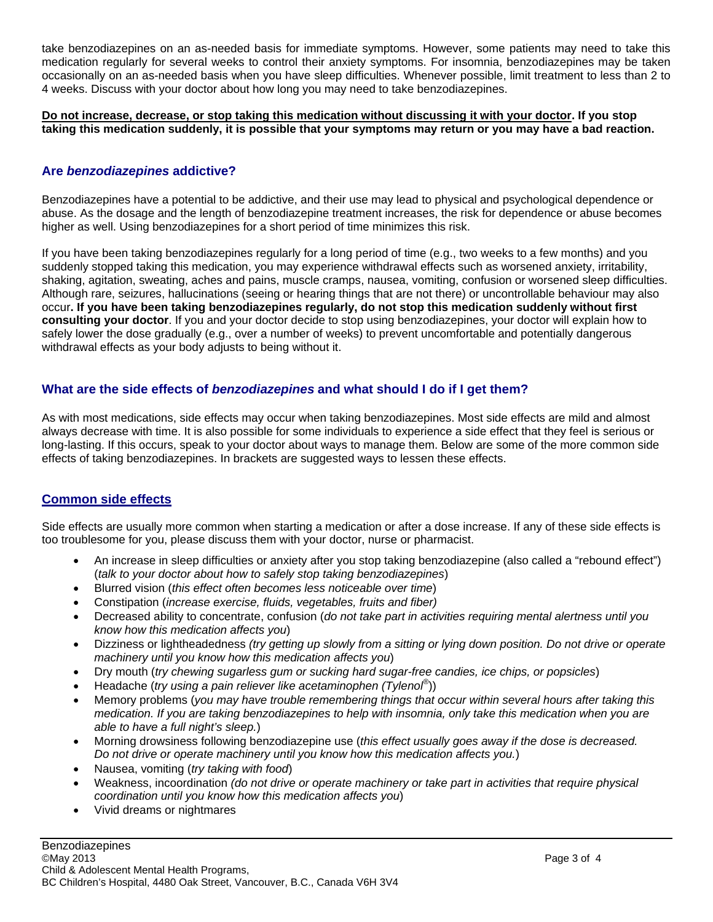take benzodiazepines on an as-needed basis for immediate symptoms. However, some patients may need to take this medication regularly for several weeks to control their anxiety symptoms. For insomnia, benzodiazepines may be taken occasionally on an as-needed basis when you have sleep difficulties. Whenever possible, limit treatment to less than 2 to 4 weeks. Discuss with your doctor about how long you may need to take benzodiazepines.

**Do not increase, decrease, or stop taking this medication without discussing it with your doctor. If you stop taking this medication suddenly, it is possible that your symptoms may return or you may have a bad reaction.** 

#### **Are** *benzodiazepines* **addictive?**

Benzodiazepines have a potential to be addictive, and their use may lead to physical and psychological dependence or abuse. As the dosage and the length of benzodiazepine treatment increases, the risk for dependence or abuse becomes higher as well. Using benzodiazepines for a short period of time minimizes this risk.

If you have been taking benzodiazepines regularly for a long period of time (e.g., two weeks to a few months) and you suddenly stopped taking this medication, you may experience withdrawal effects such as worsened anxiety, irritability, shaking, agitation, sweating, aches and pains, muscle cramps, nausea, vomiting, confusion or worsened sleep difficulties. Although rare, seizures, hallucinations (seeing or hearing things that are not there) or uncontrollable behaviour may also occur**. If you have been taking benzodiazepines regularly, do not stop this medication suddenly without first consulting your doctor**. If you and your doctor decide to stop using benzodiazepines, your doctor will explain how to safely lower the dose gradually (e.g., over a number of weeks) to prevent uncomfortable and potentially dangerous withdrawal effects as your body adjusts to being without it.

#### **What are the side effects of** *benzodiazepines* **and what should I do if I get them?**

As with most medications, side effects may occur when taking benzodiazepines. Most side effects are mild and almost always decrease with time. It is also possible for some individuals to experience a side effect that they feel is serious or long-lasting. If this occurs, speak to your doctor about ways to manage them. Below are some of the more common side effects of taking benzodiazepines. In brackets are suggested ways to lessen these effects.

### **Common side effects**

Side effects are usually more common when starting a medication or after a dose increase. If any of these side effects is too troublesome for you, please discuss them with your doctor, nurse or pharmacist.

- An increase in sleep difficulties or anxiety after you stop taking benzodiazepine (also called a "rebound effect") (*talk to your doctor about how to safely stop taking benzodiazepines*)
- Blurred vision (*this effect often becomes less noticeable over time*)
- Constipation (*increase exercise, fluids, vegetables, fruits and fiber)*
- Decreased ability to concentrate, confusion (*do not take part in activities requiring mental alertness until you know how this medication affects you*)
- Dizziness or lightheadedness *(try getting up slowly from a sitting or lying down position. Do not drive or operate machinery until you know how this medication affects you*)
- Dry mouth (*try chewing sugarless gum or sucking hard sugar-free candies, ice chips, or popsicles*)
- Headache (*try using a pain reliever like acetaminophen (Tylenol®* ))
- Memory problems (*you may have trouble remembering things that occur within several hours after taking this medication. If you are taking benzodiazepines to help with insomnia, only take this medication when you are able to have a full night's sleep.*)
- Morning drowsiness following benzodiazepine use (*this effect usually goes away if the dose is decreased. Do not drive or operate machinery until you know how this medication affects you.*)
- Nausea, vomiting (*try taking with food*)
- Weakness, incoordination *(do not drive or operate machinery or take part in activities that require physical coordination until you know how this medication affects you*)
- Vivid dreams or nightmares